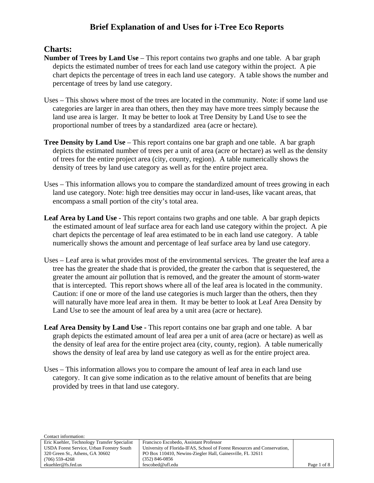#### **Charts:**

 $\overline{C}$  in  $\overline{C}$ 

- **Number of Trees by Land Use** This report contains two graphs and one table. A bar graph depicts the estimated number of trees for each land use category within the project. A pie chart depicts the percentage of trees in each land use category. A table shows the number and percentage of trees by land use category.
- Uses This shows where most of the trees are located in the community. Note: if some land use categories are larger in area than others, then they may have more trees simply because the land use area is larger. It may be better to look at Tree Density by Land Use to see the proportional number of trees by a standardized area (acre or hectare).
- **Tree Density by Land Use** This report contains one bar graph and one table. A bar graph depicts the estimated number of trees per a unit of area (acre or hectare) as well as the density of trees for the entire project area (city, county, region). A table numerically shows the density of trees by land use category as well as for the entire project area.
- Uses This information allows you to compare the standardized amount of trees growing in each land use category. Note: high tree densities may occur in land-uses, like vacant areas, that encompass a small portion of the city's total area.
- Leaf Area by Land Use This report contains two graphs and one table. A bar graph depicts the estimated amount of leaf surface area for each land use category within the project. A pie chart depicts the percentage of leaf area estimated to be in each land use category. A table numerically shows the amount and percentage of leaf surface area by land use category.
- Uses Leaf area is what provides most of the environmental services. The greater the leaf area a tree has the greater the shade that is provided, the greater the carbon that is sequestered, the greater the amount air pollution that is removed, and the greater the amount of storm-water that is intercepted. This report shows where all of the leaf area is located in the community. Caution: if one or more of the land use categories is much larger than the others, then they will naturally have more leaf area in them. It may be better to look at Leaf Area Density by Land Use to see the amount of leaf area by a unit area (acre or hectare).
- **Leaf Area Density by Land Use -** This report contains one bar graph and one table. A bar graph depicts the estimated amount of leaf area per a unit of area (acre or hectare) as well as the density of leaf area for the entire project area (city, county, region). A table numerically shows the density of leaf area by land use category as well as for the entire project area.
- Uses This information allows you to compare the amount of leaf area in each land use category. It can give some indication as to the relative amount of benefits that are being provided by trees in that land use category.

| Comact imormation:                           |                                                                          |             |
|----------------------------------------------|--------------------------------------------------------------------------|-------------|
| Eric Kuehler, Technology Transfer Specialist | Francisco Escobedo, Assistant Professor                                  |             |
| USDA Forest Service, Urban Forestry South    | University of Florida-IFAS, School of Forest Resources and Conservation, |             |
| 320 Green St., Athens, GA 30602              | PO Box 110410, Newins-Ziegler Hall, Gainesville, FL 32611                |             |
| $(706)$ 559-4268                             | $(352) 846 - 0856$                                                       |             |
| ekuehler@fs.fed.us                           | fescobed@ufl.edu                                                         | Page 1 of 8 |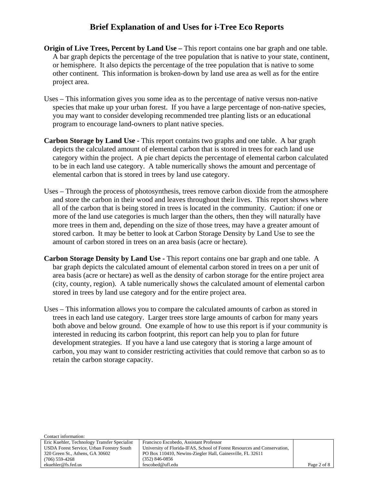- **Origin of Live Trees, Percent by Land Use –** This report contains one bar graph and one table. A bar graph depicts the percentage of the tree population that is native to your state, continent, or hemisphere. It also depicts the percentage of the tree population that is native to some other continent. This information is broken-down by land use area as well as for the entire project area.
- Uses This information gives you some idea as to the percentage of native versus non-native species that make up your urban forest. If you have a large percentage of non-native species, you may want to consider developing recommended tree planting lists or an educational program to encourage land-owners to plant native species.
- **Carbon Storage by Land Use -** This report contains two graphs and one table. A bar graph depicts the calculated amount of elemental carbon that is stored in trees for each land use category within the project. A pie chart depicts the percentage of elemental carbon calculated to be in each land use category. A table numerically shows the amount and percentage of elemental carbon that is stored in trees by land use category.
- Uses Through the process of photosynthesis, trees remove carbon dioxide from the atmosphere and store the carbon in their wood and leaves throughout their lives. This report shows where all of the carbon that is being stored in trees is located in the community. Caution: if one or more of the land use categories is much larger than the others, then they will naturally have more trees in them and, depending on the size of those trees, may have a greater amount of stored carbon. It may be better to look at Carbon Storage Density by Land Use to see the amount of carbon stored in trees on an area basis (acre or hectare).
- **Carbon Storage Density by Land Use** This report contains one bar graph and one table. A bar graph depicts the calculated amount of elemental carbon stored in trees on a per unit of area basis (acre or hectare) as well as the density of carbon storage for the entire project area (city, county, region). A table numerically shows the calculated amount of elemental carbon stored in trees by land use category and for the entire project area.
- Uses This information allows you to compare the calculated amounts of carbon as stored in trees in each land use category. Larger trees store large amounts of carbon for many years both above and below ground. One example of how to use this report is if your community is interested in reducing its carbon footprint, this report can help you to plan for future development strategies. If you have a land use category that is storing a large amount of carbon, you may want to consider restricting activities that could remove that carbon so as to retain the carbon storage capacity.

| Francisco Escobedo, Assistant Professor                                  |             |
|--------------------------------------------------------------------------|-------------|
| University of Florida-IFAS, School of Forest Resources and Conservation, |             |
| PO Box 110410, Newins-Ziegler Hall, Gainesville, FL 32611                |             |
| $(352)$ 846-0856                                                         |             |
| fescobed@ufl.edu                                                         | Page 2 of 8 |
|                                                                          |             |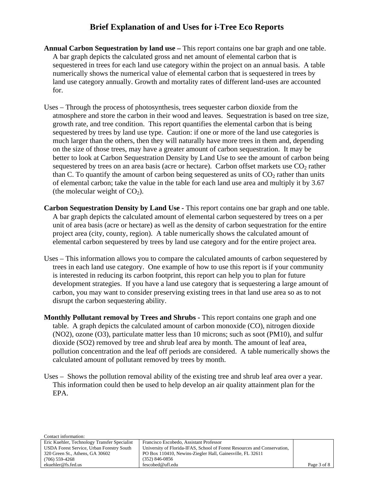- **Annual Carbon Sequestration by land use –** This report contains one bar graph and one table. A bar graph depicts the calculated gross and net amount of elemental carbon that is sequestered in trees for each land use category within the project on an annual basis. A table numerically shows the numerical value of elemental carbon that is sequestered in trees by land use category annually. Growth and mortality rates of different land-uses are accounted for.
- Uses Through the process of photosynthesis, trees sequester carbon dioxide from the atmosphere and store the carbon in their wood and leaves. Sequestration is based on tree size, growth rate, and tree condition. This report quantifies the elemental carbon that is being sequestered by trees by land use type. Caution: if one or more of the land use categories is much larger than the others, then they will naturally have more trees in them and, depending on the size of those trees, may have a greater amount of carbon sequestration. It may be better to look at Carbon Sequestration Density by Land Use to see the amount of carbon being sequestered by trees on an area basis (acre or hectare). Carbon offset markets use  $CO<sub>2</sub>$  rather than C. To quantify the amount of carbon being sequestered as units of  $CO<sub>2</sub>$  rather than units of elemental carbon; take the value in the table for each land use area and multiply it by 3.67 (the molecular weight of  $CO<sub>2</sub>$ ).
- **Carbon Sequestration Density by Land Use This report contains one bar graph and one table.** A bar graph depicts the calculated amount of elemental carbon sequestered by trees on a per unit of area basis (acre or hectare) as well as the density of carbon sequestration for the entire project area (city, county, region). A table numerically shows the calculated amount of elemental carbon sequestered by trees by land use category and for the entire project area.
- Uses This information allows you to compare the calculated amounts of carbon sequestered by trees in each land use category. One example of how to use this report is if your community is interested in reducing its carbon footprint, this report can help you to plan for future development strategies. If you have a land use category that is sequestering a large amount of carbon, you may want to consider preserving existing trees in that land use area so as to not disrupt the carbon sequestering ability.
- **Monthly Pollutant removal by Trees and Shrubs -** This report contains one graph and one table. A graph depicts the calculated amount of carbon monoxide (CO), nitrogen dioxide (NO2), ozone (O3), particulate matter less than 10 microns; such as soot (PM10), and sulfur dioxide (SO2) removed by tree and shrub leaf area by month. The amount of leaf area, pollution concentration and the leaf off periods are considered. A table numerically shows the calculated amount of pollutant removed by trees by month.
- Uses Shows the pollution removal ability of the existing tree and shrub leaf area over a year. This information could then be used to help develop an air quality attainment plan for the EPA.

| Comact imormation:                           |                                                                          |             |
|----------------------------------------------|--------------------------------------------------------------------------|-------------|
| Eric Kuehler, Technology Transfer Specialist | Francisco Escobedo, Assistant Professor                                  |             |
| USDA Forest Service, Urban Forestry South    | University of Florida-IFAS, School of Forest Resources and Conservation, |             |
| 320 Green St., Athens, GA 30602              | PO Box 110410, Newins-Ziegler Hall, Gainesville, FL 32611                |             |
| $(706)$ 559-4268                             | $(352) 846 - 0856$                                                       |             |
| ekuehler@fs.fed.us                           | fescobed@ufl.edu                                                         | Page 3 of 8 |

 $\overline{C}$  in  $\overline{C}$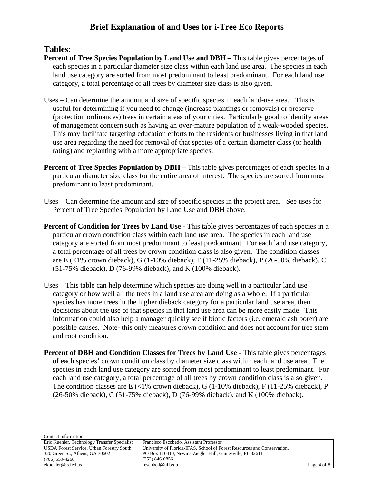#### **Tables:**

- **Percent of Tree Species Population by Land Use and DBH –** This table gives percentages of each species in a particular diameter size class within each land use area. The species in each land use category are sorted from most predominant to least predominant. For each land use category, a total percentage of all trees by diameter size class is also given.
- Uses Can determine the amount and size of specific species in each land-use area. This is useful for determining if you need to change (increase plantings or removals) or preserve (protection ordinances) trees in certain areas of your cities. Particularly good to identify areas of management concern such as having an over-mature population of a weak-wooded species. This may facilitate targeting education efforts to the residents or businesses living in that land use area regarding the need for removal of that species of a certain diameter class (or health rating) and replanting with a more appropriate species.
- **Percent of Tree Species Population by DBH** This table gives percentages of each species in a particular diameter size class for the entire area of interest. The species are sorted from most predominant to least predominant.
- Uses Can determine the amount and size of specific species in the project area. See uses for Percent of Tree Species Population by Land Use and DBH above.
- **Percent of Condition for Trees by Land Use -** This table gives percentages of each species in a particular crown condition class within each land use area. The species in each land use category are sorted from most predominant to least predominant. For each land use category, a total percentage of all trees by crown condition class is also given. The condition classes are E (<1% crown dieback), G (1-10% dieback), F (11-25% dieback), P (26-50% dieback), C (51-75% dieback), D (76-99% dieback), and K (100% dieback).
- Uses This table can help determine which species are doing well in a particular land use category or how well all the trees in a land use area are doing as a whole. If a particular species has more trees in the higher dieback category for a particular land use area, then decisions about the use of that species in that land use area can be more easily made. This information could also help a manager quickly see if biotic factors (i.e. emerald ash borer) are possible causes. Note- this only measures crown condition and does not account for tree stem and root condition.
- **Percent of DBH and Condition Classes for Trees by Land Use This table gives percentages** of each species' crown condition class by diameter size class within each land use area. The species in each land use category are sorted from most predominant to least predominant. For each land use category, a total percentage of all trees by crown condition class is also given. The condition classes are  $E \leq 1\%$  crown dieback), G (1-10% dieback), F (11-25% dieback), P (26-50% dieback), C (51-75% dieback), D (76-99% dieback), and K (100% dieback).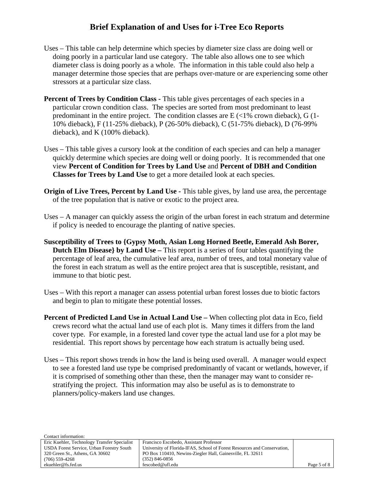- Uses This table can help determine which species by diameter size class are doing well or doing poorly in a particular land use category. The table also allows one to see which diameter class is doing poorly as a whole. The information in this table could also help a manager determine those species that are perhaps over-mature or are experiencing some other stressors at a particular size class.
- **Percent of Trees by Condition Class -** This table gives percentages of each species in a particular crown condition class. The species are sorted from most predominant to least predominant in the entire project. The condition classes are  $E \leq 1\%$  crown dieback), G (1-10% dieback), F (11-25% dieback), P (26-50% dieback), C (51-75% dieback), D (76-99% dieback), and K (100% dieback).
- Uses This table gives a cursory look at the condition of each species and can help a manager quickly determine which species are doing well or doing poorly. It is recommended that one view **Percent of Condition for Trees by Land Use** and **Percent of DBH and Condition Classes for Trees by Land Use** to get a more detailed look at each species.
- **Origin of Live Trees, Percent by Land Use -** This table gives, by land use area, the percentage of the tree population that is native or exotic to the project area.
- Uses A manager can quickly assess the origin of the urban forest in each stratum and determine if policy is needed to encourage the planting of native species.
- **Susceptibility of Trees to {Gypsy Moth, Asian Long Horned Beetle, Emerald Ash Borer, Dutch Elm Disease} by Land Use –** This report is a series of four tables quantifying the percentage of leaf area, the cumulative leaf area, number of trees, and total monetary value of the forest in each stratum as well as the entire project area that is susceptible, resistant, and immune to that biotic pest.
- Uses With this report a manager can assess potential urban forest losses due to biotic factors and begin to plan to mitigate these potential losses.
- **Percent of Predicted Land Use in Actual Land Use –** When collecting plot data in Eco, field crews record what the actual land use of each plot is. Many times it differs from the land cover type. For example, in a forested land cover type the actual land use for a plot may be residential. This report shows by percentage how each stratum is actually being used.
- Uses This report shows trends in how the land is being used overall. A manager would expect to see a forested land use type be comprised predominantly of vacant or wetlands, however, if it is comprised of something other than these, then the manager may want to consider restratifying the project. This information may also be useful as is to demonstrate to planners/policy-makers land use changes.

| Comact mormanon.                             |                                                                          |             |
|----------------------------------------------|--------------------------------------------------------------------------|-------------|
| Eric Kuehler, Technology Transfer Specialist | Francisco Escobedo, Assistant Professor                                  |             |
| USDA Forest Service, Urban Forestry South    | University of Florida-IFAS, School of Forest Resources and Conservation, |             |
| 320 Green St., Athens, GA 30602              | PO Box 110410, Newins-Ziegler Hall, Gainesville, FL 32611                |             |
| $(706)$ 559-4268                             | $(352)$ 846-0856                                                         |             |
| ekuehler@fs.fed.us                           | fescobed@ufl.edu                                                         | Page 5 of 8 |

Contact information: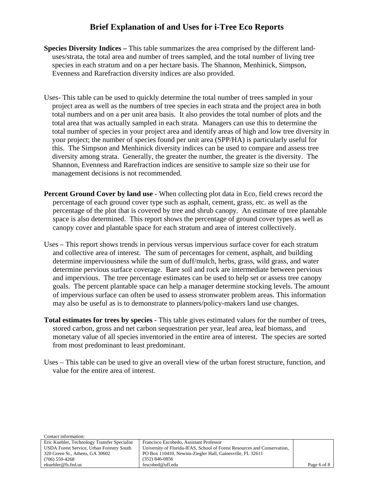- **Species Diversity Indices** This table summarizes the area comprised by the different landuses/strata, the total area and number of trees sampled, and the total number of living tree species in each stratum and on a per hectare basis. The Shannon, Menhinick, Simpson, Evenness and Rarefraction diversity indices are also provided.
- Uses- This table can be used to quickly determine the total number of trees sampled in your project area as well as the numbers of tree species in each strata and the project area in both total numbers and on a per unit area basis. It also provides the total number of plots and the total area that was actually sampled in each strata. Managers can use this to determine the total number of species in your project area and identify areas of high and low tree diversity in your project; the number of species found per unit area (SPP/HA) is particularly useful for this. The Simpson and Menhinick diversity indices can be used to compare and assess tree diversity among strata. Generally, the greater the number, the greater is the diversity. The Shannon, Evenness and Rarefraction indices are sensitive to sample size so their use for management decisions is not recommended.
- **Percent Ground Cover by land use -** When collecting plot data in Eco, field crews record the percentage of each ground cover type such as asphalt, cement, grass, etc. as well as the percentage of the plot that is covered by tree and shrub canopy. An estimate of tree plantable space is also determined. This report shows the percentage of ground cover types as well as canopy cover and plantable space for each stratum and area of interest collectively.
- Uses This report shows trends in pervious versus impervious surface cover for each stratum and collective area of interest. The sum of percentages for cement, asphalt, and building determine imperviousness while the sum of duff/mulch, herbs, grass, wild grass, and water determine pervious surface coverage. Bare soil and rock are intermediate between pervious and impervious. The tree percentage estimates can be used to help set or assess tree canopy goals. The percent plantable space can help a manager determine stocking levels. The amount of impervious surface can often be used to assess stronwater problem areas. This information may also be useful as is to demonstrate to planners/policy-makers land use changes.
- **Total estimates for trees by species -** This table gives estimated values for the number of trees, stored carbon, gross and net carbon sequestration per year, leaf area, leaf biomass, and monetary value of all species inventoried in the entire area of interest. The species are sorted from most predominant to least predominant.
- Uses This table can be used to give an overall view of the urban forest structure, function, and value for the entire area of interest.

| Contact information:                         |                                                                          |             |
|----------------------------------------------|--------------------------------------------------------------------------|-------------|
| Eric Kuehler, Technology Transfer Specialist | Francisco Escobedo, Assistant Professor                                  |             |
| USDA Forest Service, Urban Forestry South    | University of Florida-IFAS, School of Forest Resources and Conservation, |             |
| 320 Green St., Athens, GA 30602              | PO Box 110410, Newins-Ziegler Hall, Gainesville, FL 32611                |             |
| $(706)$ 559-4268                             | $(352)$ 846-0856                                                         |             |
| ekuehler@fs.fed.us                           | fescobed@ufl.edu                                                         | Page 6 of 8 |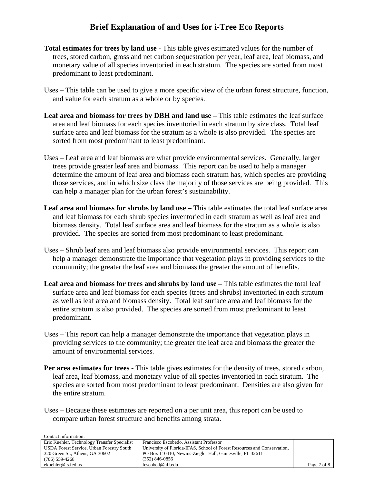- **Total estimates for trees by land use -** This table gives estimated values for the number of trees, stored carbon, gross and net carbon sequestration per year, leaf area, leaf biomass, and monetary value of all species inventoried in each stratum. The species are sorted from most predominant to least predominant.
- Uses This table can be used to give a more specific view of the urban forest structure, function, and value for each stratum as a whole or by species.
- **Leaf area and biomass for trees by DBH and land use –** This table estimates the leaf surface area and leaf biomass for each species inventoried in each stratum by size class. Total leaf surface area and leaf biomass for the stratum as a whole is also provided. The species are sorted from most predominant to least predominant.
- Uses Leaf area and leaf biomass are what provide environmental services. Generally, larger trees provide greater leaf area and biomass. This report can be used to help a manager determine the amount of leaf area and biomass each stratum has, which species are providing those services, and in which size class the majority of those services are being provided. This can help a manager plan for the urban forest's sustainability.
- **Leaf area and biomass for shrubs by land use –** This table estimates the total leaf surface area and leaf biomass for each shrub species inventoried in each stratum as well as leaf area and biomass density. Total leaf surface area and leaf biomass for the stratum as a whole is also provided. The species are sorted from most predominant to least predominant.
- Uses Shrub leaf area and leaf biomass also provide environmental services. This report can help a manager demonstrate the importance that vegetation plays in providing services to the community; the greater the leaf area and biomass the greater the amount of benefits.
- **Leaf area and biomass for trees and shrubs by land use –** This table estimates the total leaf surface area and leaf biomass for each species (trees and shrubs) inventoried in each stratum as well as leaf area and biomass density. Total leaf surface area and leaf biomass for the entire stratum is also provided. The species are sorted from most predominant to least predominant.
- Uses This report can help a manager demonstrate the importance that vegetation plays in providing services to the community; the greater the leaf area and biomass the greater the amount of environmental services.
- **Per area estimates for trees -** This table gives estimates for the density of trees, stored carbon, leaf area, leaf biomass, and monetary value of all species inventoried in each stratum. The species are sorted from most predominant to least predominant. Densities are also given for the entire stratum.
- Uses Because these estimates are reported on a per unit area, this report can be used to compare urban forest structure and benefits among strata.

Contact information:

| Comact miorination.                          |                                                                          |             |
|----------------------------------------------|--------------------------------------------------------------------------|-------------|
| Eric Kuehler, Technology Transfer Specialist | Francisco Escobedo, Assistant Professor                                  |             |
| USDA Forest Service, Urban Forestry South    | University of Florida-IFAS, School of Forest Resources and Conservation, |             |
| 320 Green St., Athens, GA 30602              | PO Box 110410, Newins-Ziegler Hall, Gainesville, FL 32611                |             |
| $(706)$ 559-4268                             | $(352)$ 846-0856                                                         |             |
| ekuehler@fs.fed.us                           | fescobed@ufl.edu                                                         | Page 7 of 8 |
|                                              |                                                                          |             |